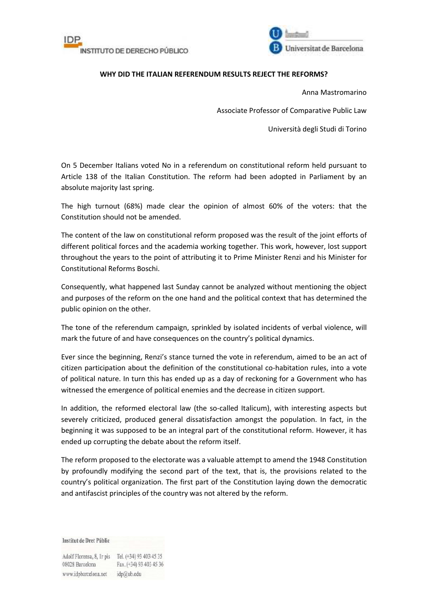



## **WHY DID THE ITALIAN REFERENDUM RESULTS REJECT THE REFORMS?**

Anna Mastromarino

Associate Professor of Comparative Public Law

Università degli Studi di Torino

On 5 December Italians voted No in a referendum on constitutional reform held pursuant to Article 138 of the Italian Constitution. The reform had been adopted in Parliament by an absolute majority last spring.

The high turnout (68%) made clear the opinion of almost 60% of the voters: that the Constitution should not be amended.

The content of the law on constitutional reform proposed was the result of the joint efforts of different political forces and the academia working together. This work, however, lost support throughout the years to the point of attributing it to Prime Minister Renzi and his Minister for Constitutional Reforms Boschi.

Consequently, what happened last Sunday cannot be analyzed without mentioning the object and purposes of the reform on the one hand and the political context that has determined the public opinion on the other.

The tone of the referendum campaign, sprinkled by isolated incidents of verbal violence, will mark the future of and have consequences on the country's political dynamics.

Ever since the beginning, Renzi's stance turned the vote in referendum, aimed to be an act of citizen participation about the definition of the constitutional co-habitation rules, into a vote of political nature. In turn this has ended up as a day of reckoning for a Government who has witnessed the emergence of political enemies and the decrease in citizen support.

In addition, the reformed electoral law (the so-called Italicum), with interesting aspects but severely criticized, produced general dissatisfaction amongst the population. In fact, in the beginning it was supposed to be an integral part of the constitutional reform. However, it has ended up corrupting the debate about the reform itself.

The reform proposed to the electorate was a valuable attempt to amend the 1948 Constitution by profoundly modifying the second part of the text, that is, the provisions related to the country's political organization. The first part of the Constitution laying down the democratic and antifascist principles of the country was not altered by the reform.

Institut de Dret Públic

Adolf Florensa, 8, Ir pis Tel. (+34) 93 403 45 35 08028 Barcelona Fax. (+34) 93 403 45 36 www.idpbarcelona.net idp@ub.edu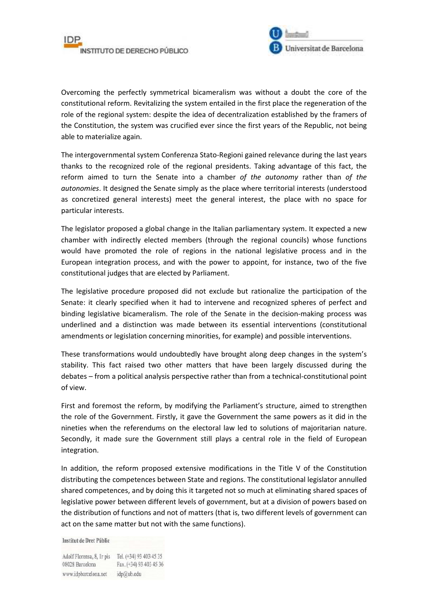



Overcoming the perfectly symmetrical bicameralism was without a doubt the core of the constitutional reform. Revitalizing the system entailed in the first place the regeneration of the role of the regional system: despite the idea of decentralization established by the framers of the Constitution, the system was crucified ever since the first years of the Republic, not being able to materialize again.

The intergovernmental system Conferenza Stato-Regioni gained relevance during the last years thanks to the recognized role of the regional presidents. Taking advantage of this fact, the reform aimed to turn the Senate into a chamber *of the autonomy* rather than *of the autonomies*. It designed the Senate simply as the place where territorial interests (understood as concretized general interests) meet the general interest, the place with no space for particular interests.

The legislator proposed a global change in the Italian parliamentary system. It expected a new chamber with indirectly elected members (through the regional councils) whose functions would have promoted the role of regions in the national legislative process and in the European integration process, and with the power to appoint, for instance, two of the five constitutional judges that are elected by Parliament.

The legislative procedure proposed did not exclude but rationalize the participation of the Senate: it clearly specified when it had to intervene and recognized spheres of perfect and binding legislative bicameralism. The role of the Senate in the decision-making process was underlined and a distinction was made between its essential interventions (constitutional amendments or legislation concerning minorities, for example) and possible interventions.

These transformations would undoubtedly have brought along deep changes in the system's stability. This fact raised two other matters that have been largely discussed during the debates – from a political analysis perspective rather than from a technical-constitutional point of view.

First and foremost the reform, by modifying the Parliament's structure, aimed to strengthen the role of the Government. Firstly, it gave the Government the same powers as it did in the nineties when the referendums on the electoral law led to solutions of majoritarian nature. Secondly, it made sure the Government still plays a central role in the field of European integration.

In addition, the reform proposed extensive modifications in the Title V of the Constitution distributing the competences between State and regions. The constitutional legislator annulled shared competences, and by doing this it targeted not so much at eliminating shared spaces of legislative power between different levels of government, but at a division of powers based on the distribution of functions and not of matters (that is, two different levels of government can act on the same matter but not with the same functions).

**Institut de Dret Públic** 

Adolf Florensa, 8, Ir pis Tel. (+34) 93 403 45 35 08028 Barcelona Fax. (+34) 93 403 45 36 www.idpbarcelona.net idp@ub.edu